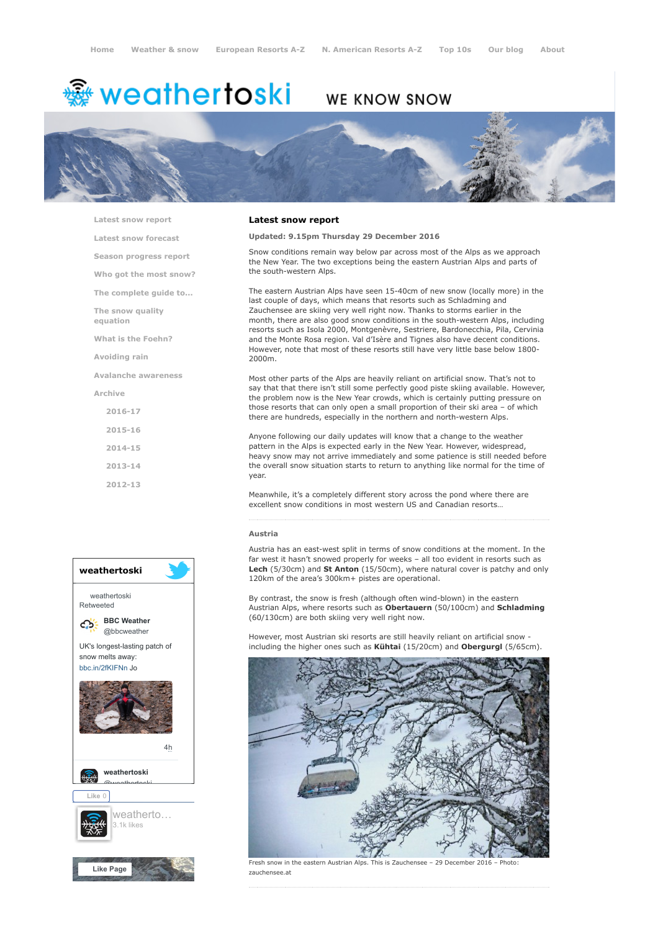# <del>鑾</del> weathertoski

# WE KNOW SNOW



[Latest snow report](https://www.weathertoski.co.uk/weather-snow/latest-snow-report/)

[Latest snow forecast](https://www.weathertoski.co.uk/weather-snow/latest-snow-forecast/)

[Season progress report](https://www.weathertoski.co.uk/weather-snow/season-progress-report/)

[Who got the most snow?](https://www.weathertoski.co.uk/weather-snow/who-got-the-most-snow/)

[The complete guide to...](https://www.weathertoski.co.uk/weather-snow/the-complete-guide-to/)

[The snow quality](https://www.weathertoski.co.uk/weather-snow/the-snow-quality-equation/)

[What is the Foehn?](https://www.weathertoski.co.uk/weather-snow/what-is-the-foehn/)

[Avoiding rain](https://www.weathertoski.co.uk/weather-snow/avoiding-rain/)

equation

[Avalanche awareness](https://www.weathertoski.co.uk/weather-snow/avalanche-awareness/)

[Archive](https://www.weathertoski.co.uk/weather-snow/archive/)

- [2016-17](https://www.weathertoski.co.uk/weather-snow/archive/2016-17/) [2015-16](https://www.weathertoski.co.uk/weather-snow/archive/2015-16/) [2014-15](https://www.weathertoski.co.uk/weather-snow/archive/2014-15/)
- [2013-14](https://www.weathertoski.co.uk/weather-snow/archive/2013-14/)
- [2012-13](https://www.weathertoski.co.uk/weather-snow/archive/2012-13/)



# Latest snow report

#### Updated: 9.15pm Thursday 29 December 2016

Snow conditions remain way below par across most of the Alps as we approach the New Year. The two exceptions being the eastern Austrian Alps and parts of the south-western Alps.

The eastern Austrian Alps have seen 15-40cm of new snow (locally more) in the last couple of days, which means that resorts such as Schladming and Zauchensee are skiing very well right now. Thanks to storms earlier in the month, there are also good snow conditions in the south-western Alps, including resorts such as Isola 2000, Montgenèvre, Sestriere, Bardonecchia, Pila, Cervinia and the Monte Rosa region. Val d'Isère and Tignes also have decent conditions. However, note that most of these resorts still have very little base below 1800- 2000m.

Most other parts of the Alps are heavily reliant on artificial snow. That's not to say that that there isn't still some perfectly good piste skiing available. However, the problem now is the New Year crowds, which is certainly putting pressure on those resorts that can only open a small proportion of their ski area – of which there are hundreds, especially in the northern and north-western Alps.

Anyone following our daily updates will know that a change to the weather pattern in the Alps is expected early in the New Year. However, widespread, heavy snow may not arrive immediately and some patience is still needed before the overall snow situation starts to return to anything like normal for the time of year.

Meanwhile, it's a completely different story across the pond where there are excellent snow conditions in most western US and Canadian resorts…

#### Austria

Austria has an east-west split in terms of snow conditions at the moment. In the far west it hasn't snowed properly for weeks – all too evident in resorts such as Lech (5/30cm) and St Anton (15/50cm), where natural cover is patchy and only 120km of the area's 300km+ pistes are operational.

By contrast, the snow is fresh (although often wind-blown) in the eastern Austrian Alps, where resorts such as Obertauern (50/100cm) and Schladming (60/130cm) are both skiing very well right now.

However, most Austrian ski resorts are still heavily reliant on artificial snow including the higher ones such as Kühtai (15/20cm) and Obergurgl (5/65cm).



Fresh snow in the eastern Austrian Alps. This is Zauchensee - 29 December 2016 zauchensee.at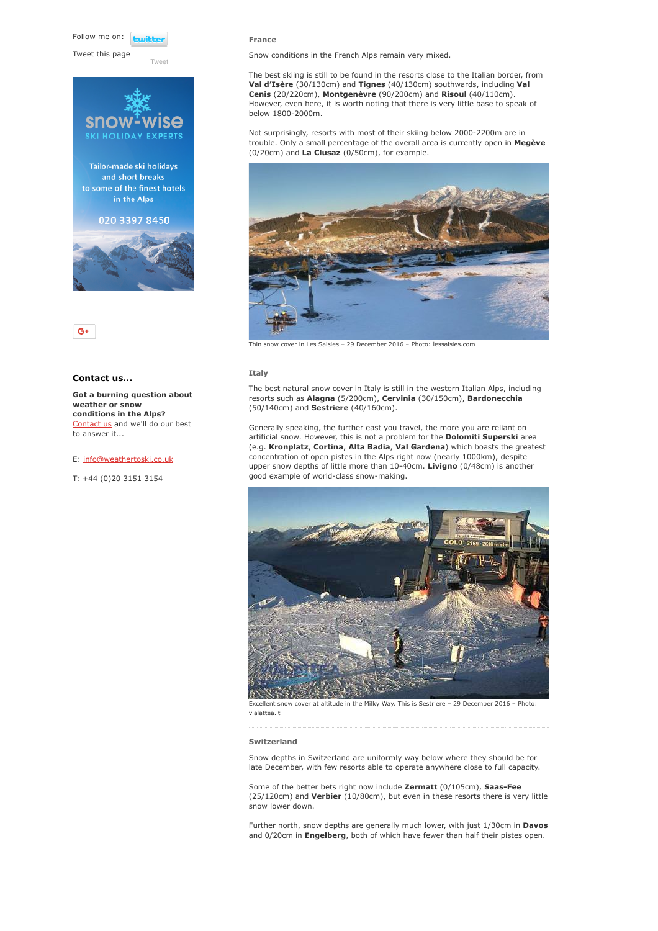Follow me on: **Lwitt** 

Tweet this page

Tailor-made ski holidays and short breaks to some of the finest hotels in the Alps 020 3397 8450

[Tweet](https://twitter.com/intent/tweet?original_referer=https%3A%2F%2Fwww.weathertoski.co.uk%2Fweather-snow%2Farchive%2Fsnow-report-29-12-2016%2F&ref_src=twsrc%5Etfw&text=Weather%20to%20ski%20-%20Snow%20report%20-%2029%20December%202016&tw_p=tweetbutton&url=https%3A%2F%2Fwww.weathertoski.co.uk%2Fweather-snow%2Farchive%2Fsnow-report-29-12-2016%2F)





# Contact us...

Got a burning question about weather or snow conditions in the Alps? [Contact us](https://www.weathertoski.co.uk/about-1/contact-us/) and we'll do our best to answer it...

#### E: [info@weathertoski.co.uk](mailto:fraser@weathertoski.co.uk)

T: +44 (0)20 3151 3154

#### France

Snow conditions in the French Alps remain very mixed.

The best skiing is still to be found in the resorts close to the Italian border, from Val d'Isère (30/130cm) and Tignes (40/130cm) southwards, including Val Cenis (20/220cm), Montgenèvre (90/200cm) and Risoul (40/110cm). However, even here, it is worth noting that there is very little base to speak of below 1800-2000m.

Not surprisingly, resorts with most of their skiing below 2000-2200m are in trouble. Only a small percentage of the overall area is currently open in Megève (0/20cm) and La Clusaz (0/50cm), for example.



cover in Les Saisies – 29 December 2016 – Photo: lessaisies.com

#### Italy

The best natural snow cover in Italy is still in the western Italian Alps, including resorts such as Alagna (5/200cm), Cervinia (30/150cm), Bardonecchia (50/140cm) and Sestriere (40/160cm).

Generally speaking, the further east you travel, the more you are reliant on artificial snow. However, this is not a problem for the Dolomiti Superski area (e.g. Kronplatz, Cortina, Alta Badia, Val Gardena) which boasts the greatest concentration of open pistes in the Alps right now (nearly 1000km), despite upper snow depths of little more than 10-40cm. Livigno (0/48cm) is another good example of world-class snow-making.



Excellent snow cover at altitude in the Milky Way. This is Sestriere – 29 December 2016 – Photo: vialattea.it

# Switzerland

Snow depths in Switzerland are uniformly way below where they should be for late December, with few resorts able to operate anywhere close to full capacity.

Some of the better bets right now include Zermatt (0/105cm), Saas-Fee (25/120cm) and Verbier (10/80cm), but even in these resorts there is very little snow lower down.

Further north, snow depths are generally much lower, with just 1/30cm in Davos and 0/20cm in Engelberg, both of which have fewer than half their pistes open.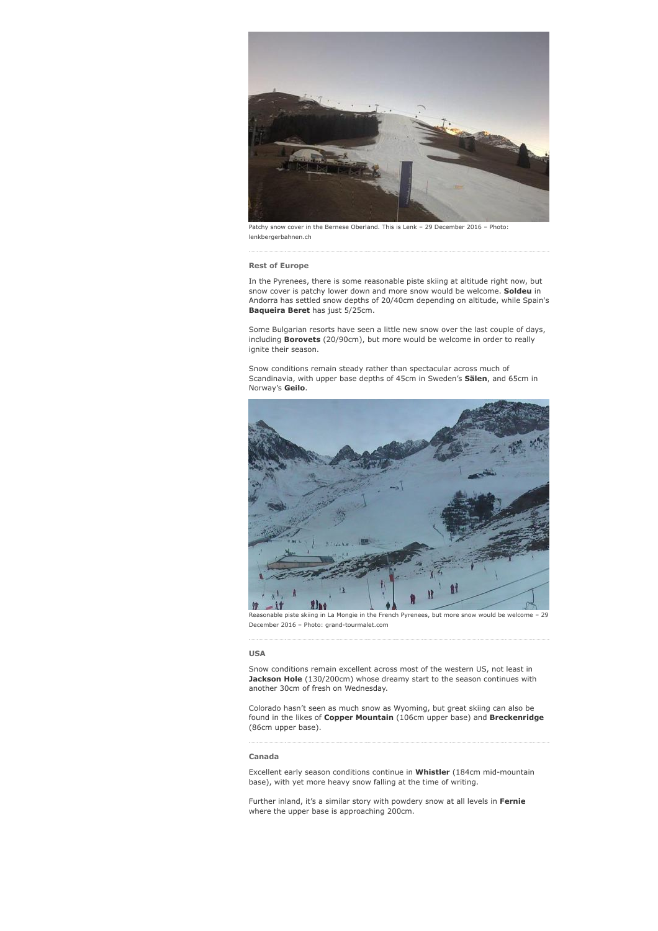

Patchy snow cover in the Bernese Oberland. This is Lenk – 29 December 2016 – Photo: lenkbergerbahnen.ch

#### Rest of Europe

In the Pyrenees, there is some reasonable piste skiing at altitude right now, but snow cover is patchy lower down and more snow would be welcome. Soldeu in Andorra has settled snow depths of 20/40cm depending on altitude, while Spain's Baqueira Beret has just 5/25cm.

Some Bulgarian resorts have seen a little new snow over the last couple of days, including Borovets (20/90cm), but more would be welcome in order to really ignite their season.

Snow conditions remain steady rather than spectacular across much of Scandinavia, with upper base depths of 45cm in Sweden's Sälen, and 65cm in Norway's Geilo.



Reasonable piste skiing in La Mongie in the French Pyrenees, but more snow would be welcome – 29 December 2016 – Photo: grand-tourmalet.com

# USA

Snow conditions remain excellent across most of the western US, not least in Jackson Hole (130/200cm) whose dreamy start to the season continues with another 30cm of fresh on Wednesday.

Colorado hasn't seen as much snow as Wyoming, but great skiing can also be found in the likes of Copper Mountain (106cm upper base) and Breckenridge (86cm upper base).

### Canada

Excellent early season conditions continue in Whistler (184cm mid-mountain base), with yet more heavy snow falling at the time of writing.

Further inland, it's a similar story with powdery snow at all levels in Fernie where the upper base is approaching 200cm.